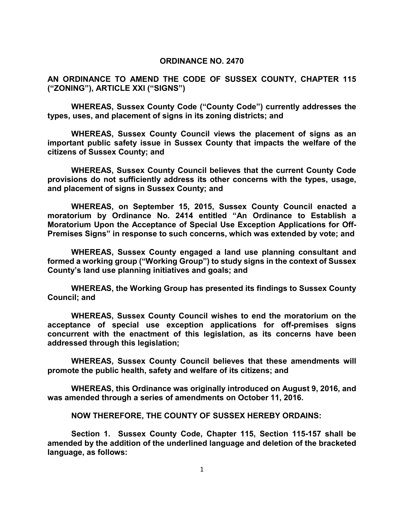#### **ORDINANCE NO. 2470**

**AN ORDINANCE TO AMEND THE CODE OF SUSSEX COUNTY, CHAPTER 115 ("ZONING"), ARTICLE XXI ("SIGNS")**

**WHEREAS, Sussex County Code ("County Code") currently addresses the types, uses, and placement of signs in its zoning districts; and**

**WHEREAS, Sussex County Council views the placement of signs as an important public safety issue in Sussex County that impacts the welfare of the citizens of Sussex County; and**

**WHEREAS, Sussex County Council believes that the current County Code provisions do not sufficiently address its other concerns with the types, usage, and placement of signs in Sussex County; and**

**WHEREAS, on September 15, 2015, Sussex County Council enacted a moratorium by Ordinance No. 2414 entitled "An Ordinance to Establish a Moratorium Upon the Acceptance of Special Use Exception Applications for Off-Premises Signs" in response to such concerns, which was extended by vote; and**

**WHEREAS, Sussex County engaged a land use planning consultant and formed a working group ("Working Group") to study signs in the context of Sussex County's land use planning initiatives and goals; and**

**WHEREAS, the Working Group has presented its findings to Sussex County Council; and**

**WHEREAS, Sussex County Council wishes to end the moratorium on the acceptance of special use exception applications for off-premises signs concurrent with the enactment of this legislation, as its concerns have been addressed through this legislation;** 

**WHEREAS, Sussex County Council believes that these amendments will promote the public health, safety and welfare of its citizens; and**

**WHEREAS, this Ordinance was originally introduced on August 9, 2016, and was amended through a series of amendments on October 11, 2016.** 

**NOW THEREFORE, THE COUNTY OF SUSSEX HEREBY ORDAINS:**

**Section 1. Sussex County Code, Chapter 115, Section 115-157 shall be amended by the addition of the underlined language and deletion of the bracketed language, as follows:**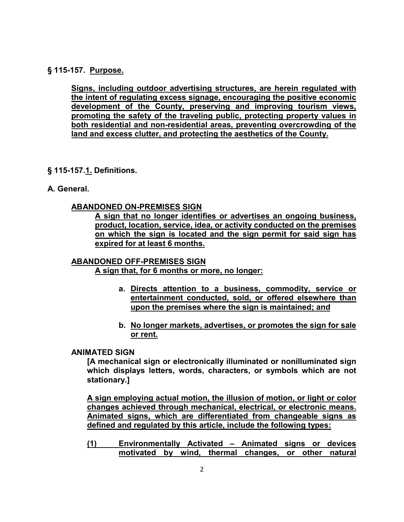# **[§ 115-157. Purpose.](http://ecode360.com/print/SU1223?guid=8884701,8884732,8884743,8884755,8884786,13804200,13804207,13804217,13804232,13804264&children=true#8884701)**

**Signs, including outdoor advertising structures, are herein regulated with the intent of regulating excess signage, encouraging the positive economic development of the County, preserving and improving tourism views, promoting the safety of the traveling public, protecting property values in both residential and non-residential areas, preventing overcrowding of the land and excess clutter, and protecting the aesthetics of the County.**

- **[§ 115-157.1.](http://ecode360.com/print/SU1223?guid=8884701,8884732,8884743,8884755,8884786,13804200,13804207,13804217,13804232,13804264&children=true#8884701) Definitions.**
- **[A.](http://ecode360.com/print/8884702#8884702) General.**

### **ABANDONED ON-PREMISES SIGN**

**A sign that no longer identifies or advertises an ongoing business, product, location, service, idea, or activity conducted on the premises on which the sign is located and the sign permit for said sign has expired for at least 6 months.** 

# **ABANDONED OFF-PREMISES SIGN A sign that, for 6 months or more, no longer:**

- **a. Directs attention to a business, commodity, service or entertainment conducted, sold, or offered elsewhere than upon the premises where the sign is maintained; and**
- **b. No longer markets, advertises, or promotes the sign for sale or rent.**

# **[ANIMATED SIGN](http://ecode360.com/print/8884703#8884703)**

**[A mechanical sign or electronically illuminated or nonilluminated sign which displays letters, words, characters, or symbols which are not stationary.]** 

**A sign employing actual motion, the illusion of motion, or light or color changes achieved through mechanical, electrical, or electronic means. Animated signs, which are differentiated from changeable signs as defined and regulated by this article, include the following types:**

**(1) Environmentally Activated – Animated signs or devices motivated by wind, thermal changes, or other natural**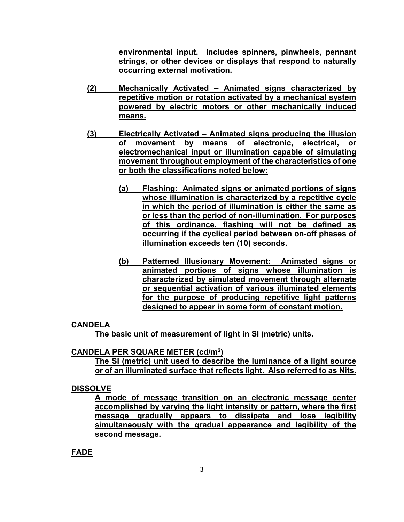**environmental input. Includes spinners, pinwheels, pennant strings, or other devices or displays that respond to naturally occurring external motivation.**

- **(2) Mechanically Activated Animated signs characterized by repetitive motion or rotation activated by a mechanical system powered by electric motors or other mechanically induced means.**
- **(3) Electrically Activated Animated signs producing the illusion of movement by means of electronic, electrical, or electromechanical input or illumination capable of simulating movement throughout employment of the characteristics of one or both the classifications noted below:**
	- **(a) Flashing: Animated signs or animated portions of signs whose illumination is characterized by a repetitive cycle in which the period of illumination is either the same as or less than the period of non-illumination. For purposes of this ordinance, flashing will not be defined as occurring if the cyclical period between on-off phases of illumination exceeds ten (10) seconds.**
	- **(b) Patterned Illusionary Movement: Animated signs or animated portions of signs whose illumination is characterized by simulated movement through alternate or sequential activation of various illuminated elements for the purpose of producing repetitive light patterns designed to appear in some form of constant motion.**

### **CANDELA**

 **The basic unit of measurement of light in SI (metric) units.** 

# **CANDELA PER SQUARE METER (cd/m2)**

**The SI (metric) unit used to describe the luminance of a light source or of an illuminated surface that reflects light. Also referred to as Nits.**

# **DISSOLVE**

**A mode of message transition on an electronic message center accomplished by varying the light intensity or pattern, where the first message gradually appears to dissipate and lose legibility simultaneously with the gradual appearance and legibility of the second message.**

### **FADE**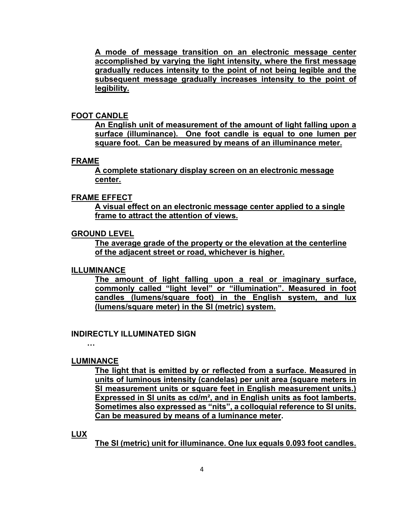**A mode of message transition on an electronic message center accomplished by varying the light intensity, where the first message gradually reduces intensity to the point of not being legible and the subsequent message gradually increases intensity to the point of legibility.**

### **FOOT CANDLE**

**An English unit of measurement of the amount of light falling upon a surface (illuminance). One foot candle is equal to one lumen per square foot. Can be measured by means of an illuminance meter.**

#### **FRAME**

**A complete stationary display screen on an electronic message center.**

### **FRAME EFFECT**

**A visual effect on an electronic message center applied to a single frame to attract the attention of views.**

### **GROUND LEVEL**

**The average grade of the property or the elevation at the centerline of the adjacent street or road, whichever is higher.**

### **ILLUMINANCE**

**The amount of light falling upon a real or imaginary surface, commonly called "light level" or "illumination". Measured in foot candles (lumens/square foot) in the English system, and lux (lumens/square meter) in the SI (metric) system.**

### **[INDIRECTLY ILLUMINATED SIGN](http://ecode360.com/print/8884704#8884704)**

**…** 

### **LUMINANCE**

**The light that is emitted by or reflected from a surface. Measured in units of luminous intensity (candelas) per unit area (square meters in SI measurement units or square feet in English measurement units.) Expressed in SI units as cd/m², and in English units as foot lamberts. Sometimes also expressed as "nits", a colloquial reference to SI units. Can be measured by means of a luminance meter.** 

#### **LUX**

**The SI (metric) unit for illuminance. One lux equals 0.093 foot candles.**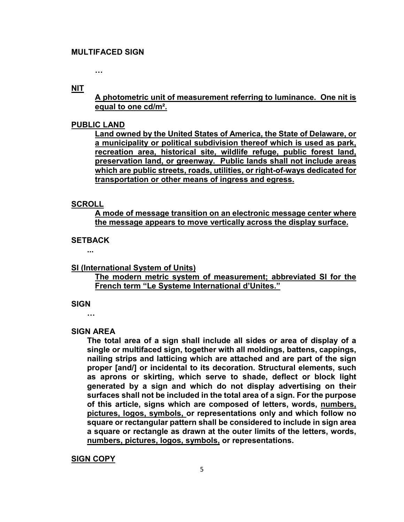**…** 

**NIT**

**A photometric unit of measurement referring to luminance. One nit is equal to one cd/m².**

#### **PUBLIC LAND**

**Land owned by the United States of America, the State of Delaware, or a municipality or political subdivision thereof which is used as park, recreation area, historical site, wildlife refuge, public forest land, preservation land, or greenway. Public lands shall not include areas which are public streets, roads, utilities, or right-of-ways dedicated for transportation or other means of ingress and egress.**

#### **SCROLL**

**A mode of message transition on an electronic message center where the message appears to move vertically across the display surface.** 

## **[SETBACK](http://ecode360.com/print/8884706#8884706)**

**...** 

### **SI (International System of Units)**

**The modern metric system of measurement; abbreviated SI for the French term "Le Systeme International d'Unites."**

#### **[SIGN](http://ecode360.com/print/8884707#8884707)**

**…** 

### **[SIGN AREA](http://ecode360.com/print/8884708#8884708)**

**The total area of a sign shall include all sides or area of display of a single or multifaced sign, together with all moldings, battens, cappings, nailing strips and latticing which are attached and are part of the sign proper [and/] or incidental to its decoration. Structural elements, such as aprons or skirting, which serve to shade, deflect or block light generated by a sign and which do not display advertising on their surfaces shall not be included in the total area of a sign. For the purpose of this article, signs which are composed of letters, words, numbers, pictures, logos, symbols, or representations only and which follow no square or rectangular pattern shall be considered to include in sign area a square or rectangle as drawn at the outer limits of the letters, words, numbers, pictures, logos, symbols, or representations.**

#### **SIGN COPY**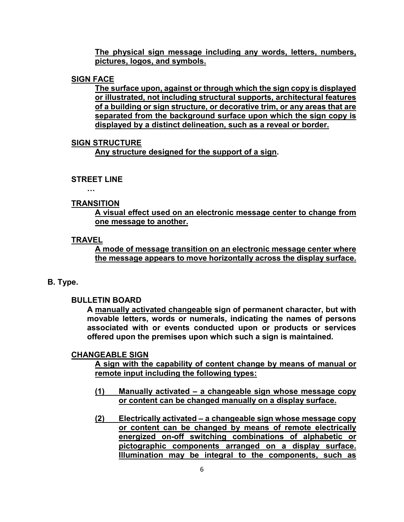**The physical sign message including any words, letters, numbers, pictures, logos, and symbols.**

## **SIGN FACE**

**The surface upon, against or through which the sign copy is displayed or illustrated, not including structural supports, architectural features of a building or sign structure, or decorative trim, or any areas that are separated from the background surface upon which the sign copy is displayed by a distinct delineation, such as a reveal or border.**

### **SIGN STRUCTURE**

 **Any structure designed for the support of a sign.** 

# **[STREET LINE](http://ecode360.com/print/8884709#8884709)**

**…** 

## **TRANSITION**

**A visual effect used on an electronic message center to change from one message to another.**

## **TRAVEL**

**A mode of message transition on an electronic message center where the message appears to move horizontally across the display surface.**

# **[B.](http://ecode360.com/print/8884711#8884711) Type.**

**[BULLETIN BOARD](http://ecode360.com/print/8884712#8884712)**

**A manually activated changeable sign of permanent character, but with movable letters, words or numerals, indicating the names of persons associated with or events conducted upon or products or services offered upon the premises upon which such a sign is maintained.**

# **CHANGEABLE SIGN**

**A sign with the capability of content change by means of manual or remote input including the following types:**

- **(1) Manually activated a changeable sign whose message copy or content can be changed manually on a display surface.**
- **(2) Electrically activated a changeable sign whose message copy or content can be changed by means of remote electrically energized on-off switching combinations of alphabetic or pictographic components arranged on a display surface. Illumination may be integral to the components, such as**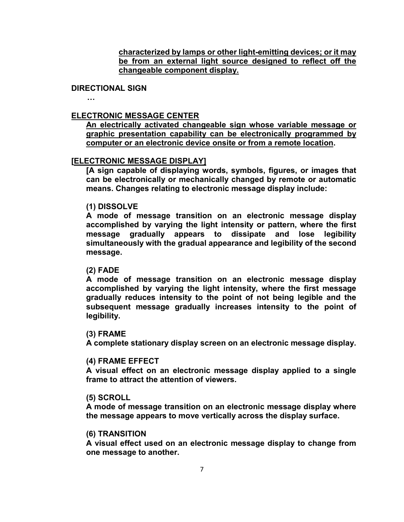**characterized by lamps or other light-emitting devices; or it may be from an external light source designed to reflect off the changeable component display.**

### **[DIRECTIONAL SIGN](http://ecode360.com/print/8884713#8884713)**

**…** 

## **[ELECTRONIC MESSAGE CENTER](http://ecode360.com/print/8884714#8884714)**

**An electrically activated changeable sign whose variable message or graphic presentation capability can be electronically programmed by computer or an electronic device onsite or from a remote location.** 

### **[\[ELECTRONIC MESSAGE DISPLAY\]](http://ecode360.com/print/8884714#8884714)**

**[A sign capable of displaying words, symbols, figures, or images that can be electronically or mechanically changed by remote or automatic means. Changes relating to electronic message display include:**

### **[\(1\)](http://ecode360.com/print/13827989#13827989) [DISSOLVE](http://ecode360.com/print/13827989#13827989)**

**A mode of message transition on an electronic message display accomplished by varying the light intensity or pattern, where the first message gradually appears to dissipate and lose legibility simultaneously with the gradual appearance and legibility of the second message.**

#### **[\(2\)](http://ecode360.com/print/13827991#13827991) [FADE](http://ecode360.com/print/13827991#13827991)**

**A mode of message transition on an electronic message display accomplished by varying the light intensity, where the first message gradually reduces intensity to the point of not being legible and the subsequent message gradually increases intensity to the point of legibility.**

#### **[\(3\)](http://ecode360.com/print/13827992#13827992) [FRAME](http://ecode360.com/print/13827992#13827992)**

**A complete stationary display screen on an electronic message display.**

#### **[\(4\)](http://ecode360.com/print/13827993#13827993) [FRAME EFFECT](http://ecode360.com/print/13827993#13827993)**

**A visual effect on an electronic message display applied to a single frame to attract the attention of viewers.**

#### **[\(5\)](http://ecode360.com/print/13827994#13827994) [SCROLL](http://ecode360.com/print/13827994#13827994)**

**A mode of message transition on an electronic message display where the message appears to move vertically across the display surface.**

#### **[\(6\)](http://ecode360.com/print/13827995#13827995) [TRANSITION](http://ecode360.com/print/13827995#13827995)**

**A visual effect used on an electronic message display to change from one message to another.**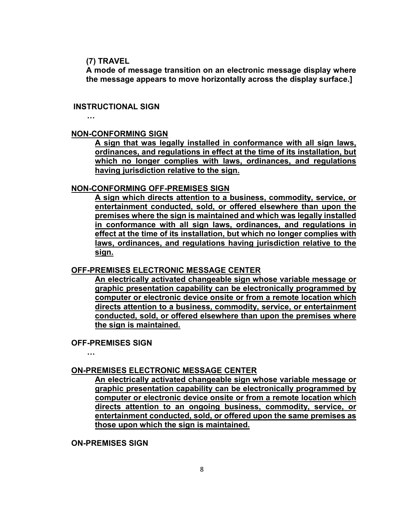#### **[\(7\)](http://ecode360.com/print/13827996#13827996) [TRAVEL](http://ecode360.com/print/13827996#13827996)**

**A mode of message transition on an electronic message display where the message appears to move horizontally across the display surface.]** 

### **[INSTRUCTIONAL SIGN](http://ecode360.com/print/13804188#13804188)**

**…** 

### **NON-CONFORMING SIGN**

**A sign that was legally installed in conformance with all sign laws, ordinances, and regulations in effect at the time of its installation, but which no longer complies with laws, ordinances, and regulations having jurisdiction relative to the sign.**

### **NON-CONFORMING OFF-PREMISES SIGN**

**A sign which directs attention to a business, commodity, service, or entertainment conducted, sold, or offered elsewhere than upon the premises where the sign is maintained and which was legally installed in conformance with all sign laws, ordinances, and regulations in effect at the time of its installation, but which no longer complies with laws, ordinances, and regulations having jurisdiction relative to the sign.**

### **OFF-PREMISES ELECTRONIC MESSAGE CENTER**

**An electrically activated changeable sign whose variable message or graphic presentation capability can be electronically programmed by computer or electronic device onsite or from a remote location which directs attention to a business, commodity, service, or entertainment conducted, sold, or offered elsewhere than upon the premises where the sign is maintained.**

### **[OFF-PREMISES SIGN](http://ecode360.com/print/8884715#8884715)**

**…** 

**ON-PREMISES ELECTRONIC MESSAGE CENTER**

**An electrically activated changeable sign whose variable message or graphic presentation capability can be electronically programmed by computer or electronic device onsite or from a remote location which directs attention to an ongoing business, commodity, service, or entertainment conducted, sold, or offered upon the same premises as those upon which the sign is maintained.**

**[ON-PREMISES SIGN](http://ecode360.com/print/8884716#8884716)**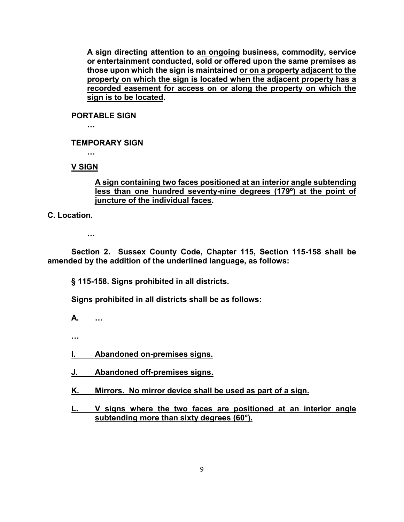**A sign directing attention to an ongoing business, commodity, service or entertainment conducted, sold or offered upon the same premises as those upon which the sign is maintained or on a property adjacent to the property on which the sign is located when the adjacent property has a recorded easement for access on or along the property on which the sign is to be located.** 

**[PORTABLE SIGN](http://ecode360.com/print/8884717#8884717)**

**…** 

**[TEMPORARY SIGN](http://ecode360.com/print/8884718#8884718)**

**…** 

**V SIGN**

## **A sign containing two faces positioned at an interior angle subtending less than one hundred seventy-nine degrees (179º) at the point of juncture of the individual faces.**

**[C.](http://ecode360.com/print/8884719#8884719) Location.**

**…** 

**Section 2. Sussex County Code, Chapter 115, Section 115-158 shall be amended by the addition of the underlined language, as follows:**

**[§ 115-158. Signs prohibited in all districts.](http://ecode360.com/print/SU1223?guid=8884701,8884732,8884743,8884755,8884786,13804200,13804207,13804217,13804232,13804264&children=true#8884732)**

**Signs prohibited in all districts shall be as follows:**

**[A.](http://ecode360.com/print/8884733#8884733) …** 

 **…** 

**I. Abandoned on-premises signs.**

**J. Abandoned off-premises signs.**

**K. Mirrors. No mirror device shall be used as part of a sign.**

**L. V signs where the two faces are positioned at an interior angle subtending more than sixty degrees (60°).**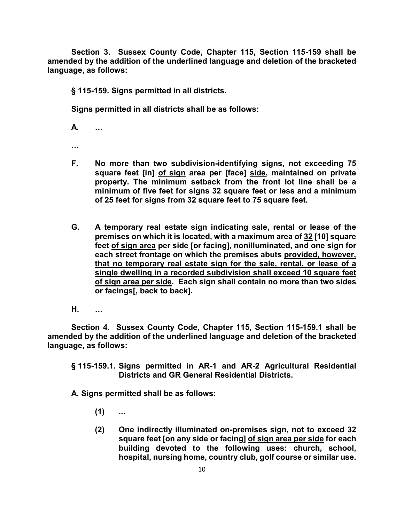**Section 3. Sussex County Code, Chapter 115, Section 115-159 shall be amended by the addition of the underlined language and deletion of the bracketed language, as follows:**

**[§ 115-159. Signs permitted in all districts.](http://ecode360.com/print/SU1223?guid=8884701,8884732,8884743,8884755,8884786,13804200,13804207,13804217,13804232,13804264&children=true#8884743)**

**Signs permitted in all districts shall be as follows:**

**[A.](http://ecode360.com/print/8884744#8884744) …** 

**…** 

- **F. No more than two subdivision-identifying signs, not exceeding 75 square feet [in] of sign area per [face] side, maintained on private property. The minimum setback from the front lot line shall be a minimum of five feet for signs 32 square feet or less and a minimum of 25 feet for signs from 32 square feet to 75 square feet.**
- **[G.](http://ecode360.com/print/8884750#8884750) A temporary real estate sign indicating sale, rental or lease of the premises on which it is located, with a maximum area of 32 [10] square feet of sign area per side [or facing], nonilluminated, and one sign for each street frontage on which the premises abuts provided, however, that no temporary real estate sign for the sale, rental, or lease of a single dwelling in a recorded subdivision shall exceed 10 square feet of sign area per side. Each sign shall contain no more than two sides or facings[, back to back].**
- **[H.](http://ecode360.com/print/8884751#8884751) …**

**Section 4. Sussex County Code, Chapter 115, Section 115-159.1 shall be amended by the addition of the underlined language and deletion of the bracketed language, as follows:**

**[§ 115-159.1. Signs permitted in AR-1 and AR-2 Agricultural Residential](http://ecode360.com/print/SU1223?guid=8884701,8884732,8884743,8884755,8884786,13804200,13804207,13804217,13804232,13804264&children=true#8884755)  [Districts and GR General Residential Districts.](http://ecode360.com/print/SU1223?guid=8884701,8884732,8884743,8884755,8884786,13804200,13804207,13804217,13804232,13804264&children=true#8884755)**

- **[\(1\)](http://ecode360.com/print/8884757#8884757) ...**
- **[\(2\)](http://ecode360.com/print/8884758#8884758) One indirectly illuminated on-premises sign, not to exceed 32 square feet [on any side or facing] of sign area per side for each building devoted to the following uses: church, school, hospital, nursing home, country club, golf course or similar use.**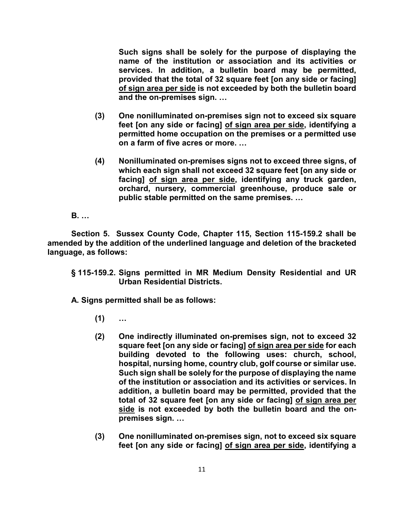**Such signs shall be solely for the purpose of displaying the name of the institution or association and its activities or services. In addition, a bulletin board may be permitted, provided that the total of 32 square feet [on any side or facing] of sign area per side is not exceeded by both the bulletin board and the on-premises sign. …** 

- **[\(3\)](http://ecode360.com/print/8884759#8884759) One nonilluminated on-premises sign not to exceed six square feet [on any side or facing] of sign area per side, identifying a permitted home occupation on the premises or a permitted use on a farm of five acres or more. …**
- **[\(4\)](http://ecode360.com/print/8884760#8884760) Nonilluminated on-premises signs not to exceed three signs, of which each sign shall not exceed 32 square feet [on any side or facing] of sign area per side, identifying any truck garden, orchard, nursery, commercial greenhouse, produce sale or public stable permitted on the same premises. …**

**B. …**

**Section 5. Sussex County Code, Chapter 115, Section 115-159.2 shall be amended by the addition of the underlined language and deletion of the bracketed language, as follows:**

**[§ 115-159.2. Signs permitted in MR Medium Density Residential and UR](http://ecode360.com/print/SU1223?guid=8884701,8884732,8884743,8884755,8884786,13804200,13804207,13804217,13804232,13804264&children=true#8884786)  [Urban Residential Districts.](http://ecode360.com/print/SU1223?guid=8884701,8884732,8884743,8884755,8884786,13804200,13804207,13804217,13804232,13804264&children=true#8884786)**

- **[\(1\)](http://ecode360.com/print/13804196#13804196) …**
- **[\(2\)](http://ecode360.com/print/13804197#13804197) One indirectly illuminated on-premises sign, not to exceed 32 square feet [on any side or facing] of sign area per side for each building devoted to the following uses: church, school, hospital, nursing home, country club, golf course or similar use. Such sign shall be solely for the purpose of displaying the name of the institution or association and its activities or services. In addition, a bulletin board may be permitted, provided that the total of 32 square feet [on any side or facing] of sign area per side is not exceeded by both the bulletin board and the onpremises sign. …**
- **[\(3\)](http://ecode360.com/print/13804198#13804198) One nonilluminated on-premises sign, not to exceed six square feet [on any side or facing] of sign area per side, identifying a**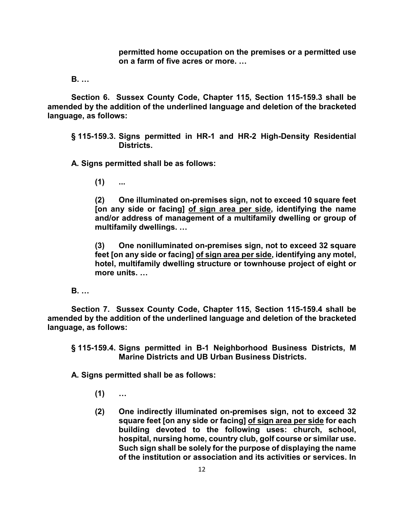**permitted home occupation on the premises or a permitted use on a farm of five acres or more. …**

**[B.](http://ecode360.com/print/8884788#8884788) …** 

**Section 6. Sussex County Code, Chapter 115, Section 115-159.3 shall be amended by the addition of the underlined language and deletion of the bracketed language, as follows:**

**[§ 115-159.3. Signs permitted in HR-1 and HR-2 High-Density Residential](http://ecode360.com/print/SU1223?guid=8884701,8884732,8884743,8884755,8884786,13804200,13804207,13804217,13804232,13804264&children=true#13804200)  [Districts.](http://ecode360.com/print/SU1223?guid=8884701,8884732,8884743,8884755,8884786,13804200,13804207,13804217,13804232,13804264&children=true#13804200)**

**[A.](http://ecode360.com/print/13804201#13804201) Signs permitted shall be as follows:**

**[\(1\)](http://ecode360.com/print/13804202#13804202) ...** 

**[\(2\)](http://ecode360.com/print/13804203#13804203) One illuminated on-premises sign, not to exceed 10 square feet [on any side or facing] of sign area per side, identifying the name and/or address of management of a multifamily dwelling or group of multifamily dwellings. …**

**[\(3\)](http://ecode360.com/print/13804204#13804204) One nonilluminated on-premises sign, not to exceed 32 square feet [on any side or facing] of sign area per side, identifying any motel, hotel, multifamily dwelling structure or townhouse project of eight or more units. …**

**[B.](http://ecode360.com/print/13804205#13804205) …** 

**Section 7. Sussex County Code, Chapter 115, Section 115-159.4 shall be amended by the addition of the underlined language and deletion of the bracketed language, as follows:** 

**[§ 115-159.4. Signs permitted in B-1 Neighborhood Business Districts, M](http://ecode360.com/print/SU1223?guid=8884701,8884732,8884743,8884755,8884786,13804200,13804207,13804217,13804232,13804264&children=true#13804207)  [Marine Districts and UB Urban Business Districts.](http://ecode360.com/print/SU1223?guid=8884701,8884732,8884743,8884755,8884786,13804200,13804207,13804217,13804232,13804264&children=true#13804207)**

- **[\(1\)](http://ecode360.com/print/13804209#13804209) …**
- **[\(2\)](http://ecode360.com/print/13804210#13804210) One indirectly illuminated on-premises sign, not to exceed 32 square feet [on any side or facing] of sign area per side for each building devoted to the following uses: church, school, hospital, nursing home, country club, golf course or similar use. Such sign shall be solely for the purpose of displaying the name of the institution or association and its activities or services. In**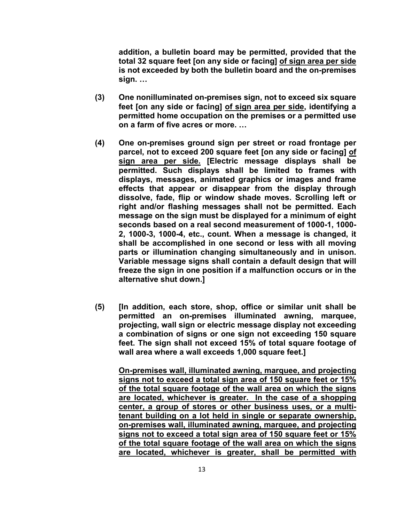**addition, a bulletin board may be permitted, provided that the total 32 square feet [on any side or facing] of sign area per side is not exceeded by both the bulletin board and the on-premises sign. …**

- **[\(3\)](http://ecode360.com/print/13804211#13804211) One nonilluminated on-premises sign, not to exceed six square feet [on any side or facing] of sign area per side, identifying a permitted home occupation on the premises or a permitted use on a farm of five acres or more. …**
- **[\(4\)](http://ecode360.com/print/13804212#13804212) One on-premises ground sign per street or road frontage per parcel, not to exceed 200 square feet [on any side or facing] of sign area per side. [Electric message displays shall be permitted. Such displays shall be limited to frames with displays, messages, animated graphics or images and frame effects that appear or disappear from the display through dissolve, fade, flip or window shade moves. Scrolling left or right and/or flashing messages shall not be permitted. Each message on the sign must be displayed for a minimum of eight seconds based on a real second measurement of 1000-1, 1000- 2, 1000-3, 1000-4, etc., count. When a message is changed, it shall be accomplished in one second or less with all moving parts or illumination changing simultaneously and in unison. Variable message signs shall contain a default design that will freeze the sign in one position if a malfunction occurs or in the alternative shut down.]**
- **(5) [In addition, each store, shop, office or similar unit shall be permitted an on-premises illuminated awning, marquee, projecting, wall sign or electric message display not exceeding a combination of signs or one sign not exceeding 150 square feet. The sign shall not exceed 15% of total square footage of wall area where a wall exceeds 1,000 square feet.]**

**On-premises wall, illuminated awning, marquee, and projecting signs not to exceed a total sign area of 150 square feet or 15% of the total square footage of the wall area on which the signs are located, whichever is greater. In the case of a shopping center, a group of stores or other business uses, or a multitenant building on a lot held in single or separate ownership, on-premises wall, illuminated awning, marquee, and projecting signs not to exceed a total sign area of 150 square feet or 15% of the total square footage of the wall area on which the signs are located, whichever is greater, shall be permitted with**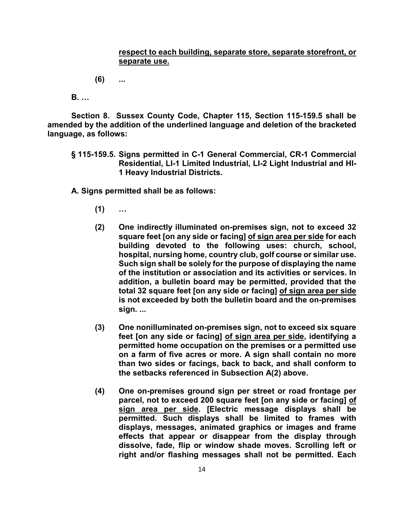## **respect to each building, separate store, separate storefront, or separate use.**

**[\(6\)](http://ecode360.com/print/13804214#13804214) ...** 

**[B.](http://ecode360.com/print/13804215#13804215) …** 

**Section 8. Sussex County Code, Chapter 115, Section 115-159.5 shall be amended by the addition of the underlined language and deletion of the bracketed language, as follows:**

**[§ 115-159.5. Signs permitted in C-1 General Commercial, CR-1 Commercial](http://ecode360.com/print/SU1223?guid=8884701,8884732,8884743,8884755,8884786,13804200,13804207,13804217,13804232,13804264&children=true#13804217)  [Residential, LI-1 Limited Industrial, LI-2 Light Industrial and HI-](http://ecode360.com/print/SU1223?guid=8884701,8884732,8884743,8884755,8884786,13804200,13804207,13804217,13804232,13804264&children=true#13804217)[1 Heavy Industrial Districts.](http://ecode360.com/print/SU1223?guid=8884701,8884732,8884743,8884755,8884786,13804200,13804207,13804217,13804232,13804264&children=true#13804217)**

- **[\(1\)](http://ecode360.com/print/13804219#13804219) …**
- **[\(2\)](http://ecode360.com/print/13804220#13804220) One indirectly illuminated on-premises sign, not to exceed 32 square feet [on any side or facing] of sign area per side for each building devoted to the following uses: church, school, hospital, nursing home, country club, golf course or similar use. Such sign shall be solely for the purpose of displaying the name of the institution or association and its activities or services. In addition, a bulletin board may be permitted, provided that the total 32 square feet [on any side or facing] of sign area per side is not exceeded by both the bulletin board and the on-premises sign. ...**
- **[\(3\)](http://ecode360.com/print/13804221#13804221) One nonilluminated on-premises sign, not to exceed six square feet [on any side or facing] of sign area per side, identifying a permitted home occupation on the premises or a permitted use on a farm of five acres or more. A sign shall contain no more than two sides or facings, back to back, and shall conform to the setbacks referenced in Subsection [A\(2\)](http://ecode360.com/print/13804220#13804220) above.**
- **[\(4\)](http://ecode360.com/print/13804222#13804222) One on-premises ground sign per street or road frontage per parcel, not to exceed 200 square feet [on any side or facing] of sign area per side. [Electric message displays shall be permitted. Such displays shall be limited to frames with displays, messages, animated graphics or images and frame effects that appear or disappear from the display through dissolve, fade, flip or window shade moves. Scrolling left or right and/or flashing messages shall not be permitted. Each**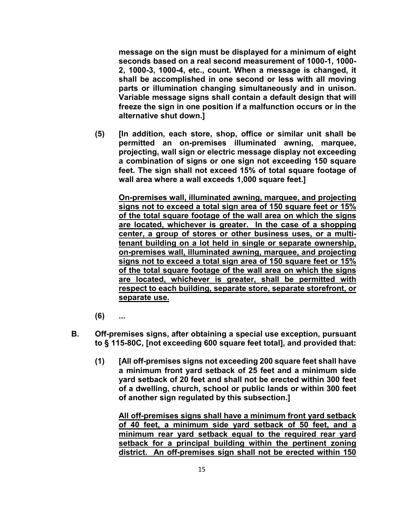**message on the sign must be displayed for a minimum of eight seconds based on a real second measurement of 1000-1, 1000- 2, 1000-3, 1000-4, etc., count. When a message is changed, it shall be accomplished in one second or less with all moving parts or illumination changing simultaneously and in unison. Variable message signs shall contain a default design that will freeze the sign in one position if a malfunction occurs or in the alternative shut down.]** 

**(5) [In addition, each store, shop, office or similar unit shall be permitted an on-premises illuminated awning, marquee, projecting, wall sign or electric message display not exceeding a combination of signs or one sign not exceeding 150 square feet. The sign shall not exceed 15% of total square footage of wall area where a wall exceeds 1,000 square feet.]** 

**On-premises wall, illuminated awning, marquee, and projecting signs not to exceed a total sign area of 150 square feet or 15% of the total square footage of the wall area on which the signs are located, whichever is greater. In the case of a shopping center, a group of stores or other business uses, or a multitenant building on a lot held in single or separate ownership, on-premises wall, illuminated awning, marquee, and projecting signs not to exceed a total sign area of 150 square feet or 15% of the total square footage of the wall area on which the signs are located, whichever is greater, shall be permitted with respect to each building, separate store, separate storefront, or separate use.** 

- **[\(6\)](http://ecode360.com/print/13804224#13804224) ...**
- **[B.](http://ecode360.com/print/13804225#13804225) Off-premises signs, after obtaining a special use exception, pursuant to § [115-80C,](http://ecode360.com/print/8884310#8884310) [not exceeding 600 square feet total], and provided that:**
	- **(1) [All off-premises signs not exceeding 200 square feet shall have a minimum front yard setback of 25 feet and a minimum side yard setback of 20 feet and shall not be erected within 300 feet of a dwelling, church, school or public lands or within 300 feet of another sign regulated by this subsection.]**

**All off-premises signs shall have a minimum front yard setback of 40 feet, a minimum side yard setback of 50 feet, and a minimum rear yard setback equal to the required rear yard setback for a principal building within the pertinent zoning district. An off-premises sign shall not be erected within 150**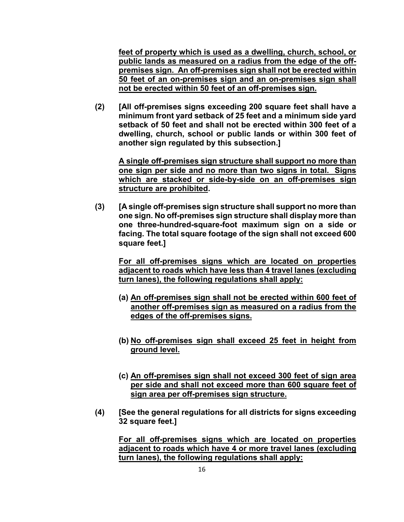**feet of property which is used as a dwelling, church, school, or public lands as measured on a radius from the edge of the offpremises sign. An off-premises sign shall not be erected within 50 feet of an on-premises sign and an on-premises sign shall not be erected within 50 feet of an off-premises sign.** 

**[\(2\)](http://ecode360.com/print/13804228#13804228) [All off-premises signs exceeding 200 square feet shall have a minimum front yard setback of 25 feet and a minimum side yard setback of 50 feet and shall not be erected within 300 feet of a dwelling, church, school or public lands or within 300 feet of another sign regulated by this subsection.]** 

**A single off-premises sign structure shall support no more than one sign per side and no more than two signs in total. Signs which are stacked or side-by-side on an off-premises sign structure are prohibited.** 

**[\(3\)](http://ecode360.com/print/13804229#13804229) [A single off-premises sign structure shall support no more than one sign. No off-premises sign structure shall display more than one three-hundred-square-foot maximum sign on a side or facing. The total square footage of the sign shall not exceed 600 square feet.]** 

**For all off-premises signs which are located on properties adjacent to roads which have less than 4 travel lanes (excluding turn lanes), the following regulations shall apply:**

- **(a) An off-premises sign shall not be erected within 600 feet of another off-premises sign as measured on a radius from the edges of the off-premises signs.**
- **(b) No off-premises sign shall exceed 25 feet in height from ground level.**
- **(c) An off-premises sign shall not exceed 300 feet of sign area per side and shall not exceed more than 600 square feet of sign area per off-premises sign structure.**
- **(4) [See the general regulations for all districts for signs exceeding 32 square feet.]**

**For all off-premises signs which are located on properties adjacent to roads which have 4 or more travel lanes (excluding turn lanes), the following regulations shall apply:**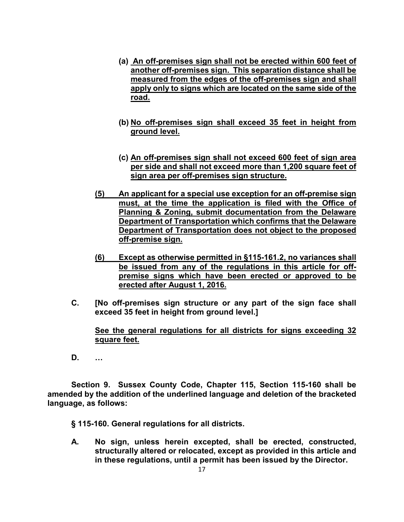- **(a) An off-premises sign shall not be erected within 600 feet of another off-premises sign. This separation distance shall be measured from the edges of the off-premises sign and shall apply only to signs which are located on the same side of the road.**
- **(b) No off-premises sign shall exceed 35 feet in height from ground level.**
- **(c) An off-premises sign shall not exceed 600 feet of sign area per side and shall not exceed more than 1,200 square feet of sign area per off-premises sign structure.**
- **(5) An applicant for a special use exception for an off-premise sign must, at the time the application is filed with the Office of Planning & Zoning, submit documentation from the Delaware Department of Transportation which confirms that the Delaware Department of Transportation does not object to the proposed off-premise sign.**
- **(6) Except as otherwise permitted in §115-161.2, no variances shall be issued from any of the regulations in this article for offpremise signs which have been erected or approved to be erected after August 1, 2016.**
- **C. [No off-premises sign structure or any part of the sign face shall exceed 35 feet in height from ground level.]**

**See the general regulations for all districts for signs exceeding 32 square feet.**

**D. …** 

**Section 9. Sussex County Code, Chapter 115, Section 115-160 shall be amended by the addition of the underlined language and deletion of the bracketed language, as follows:**

**[§ 115-160. General regulations for all districts.](http://ecode360.com/print/SU1223?guid=8884701,8884732,8884743,8884755,8884786,13804200,13804207,13804217,13804232,13804264&children=true#13804232)**

**[A.](http://ecode360.com/print/13804233#13804233) No sign, unless herein excepted, shall be erected, constructed, structurally altered or relocated, except as provided in this article and in these regulations, until a permit has been issued by the Director.**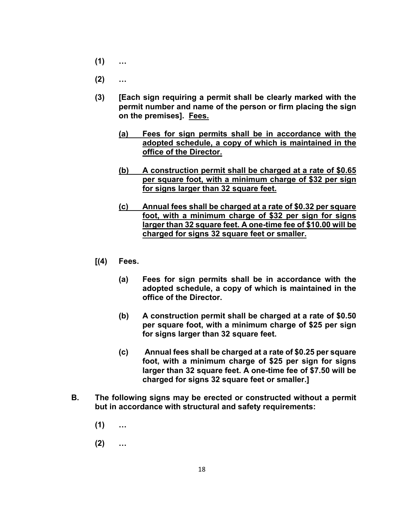- **[\(1\)](http://ecode360.com/print/13804234#13804234) …**
- **[\(2\)](http://ecode360.com/print/13804235#13804235) …**
- **[\(3\)](http://ecode360.com/print/13804236#13804236) [Each sign requiring a permit shall be clearly marked with the permit number and name of the person or firm placing the sign on the premises]. Fees.**
	- **[\(a\)](http://ecode360.com/print/13804238#13804238) Fees for sign permits shall be in accordance with the adopted schedule, a copy of which is maintained in the office of the Director.**
	- **[\(b\)](http://ecode360.com/print/13804239#13804239) A construction permit shall be charged at a rate of \$0.65 per square foot, with a minimum charge of \$32 per sign for signs larger than 32 square feet.**
	- **[\(c\)](http://ecode360.com/print/13804240#13804240) Annual fees shall be charged at a rate of \$0.32 per square foot, with a minimum charge of \$32 per sign for signs larger than 32 square feet. A one-time fee of \$10.00 will be charged for signs 32 square feet or smaller.**
- **[\[\(4\)](http://ecode360.com/print/13804237#13804237) Fees.**
	- **[\(a\)](http://ecode360.com/print/13804238#13804238) Fees for sign permits shall be in accordance with the adopted schedule, a copy of which is maintained in the office of the Director.**
	- **[\(b\)](http://ecode360.com/print/13804239#13804239) A construction permit shall be charged at a rate of \$0.50 per square foot, with a minimum charge of \$25 per sign for signs larger than 32 square feet.**
	- **[\(c\) A](http://ecode360.com/print/13804240#13804240)nnual fees shall be charged at a rate of \$0.25 per square foot, with a minimum charge of \$25 per sign for signs larger than 32 square feet. A one-time fee of \$7.50 will be charged for signs 32 square feet or smaller.]**
- **[B.](http://ecode360.com/print/13804241#13804241) The following signs may be erected or constructed without a permit but in accordance with structural and safety requirements:**
	- **[\(1\)](http://ecode360.com/print/13804242#13804242) …**
	- **[\(2\)](http://ecode360.com/print/13804243#13804243) …**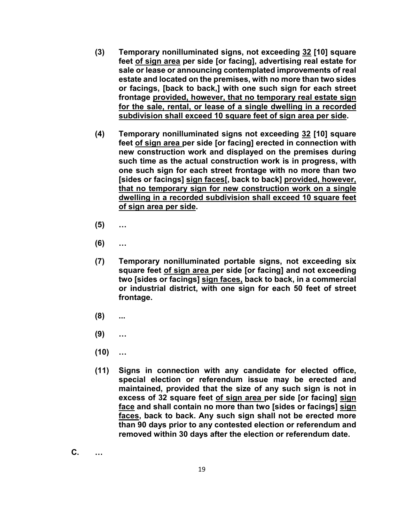- **[\(3\)](http://ecode360.com/print/13804244#13804244) Temporary nonilluminated signs, not exceeding 32 [10] square feet of sign area per side [or facing], advertising real estate for sale or lease or announcing contemplated improvements of real estate and located on the premises, with no more than two sides or facings, [back to back,] with one such sign for each street frontage provided, however, that no temporary real estate sign for the sale, rental, or lease of a single dwelling in a recorded subdivision shall exceed 10 square feet of sign area per side.**
- **[\(4\)](http://ecode360.com/print/13804245#13804245) Temporary nonilluminated signs not exceeding 32 [10] square feet of sign area per side [or facing] erected in connection with new construction work and displayed on the premises during such time as the actual construction work is in progress, with one such sign for each street frontage with no more than two [sides or facings] sign faces[, back to back] provided, however, that no temporary sign for new construction work on a single dwelling in a recorded subdivision shall exceed 10 square feet of sign area per side.**
- **[\(5\)](http://ecode360.com/print/13804246#13804246) …**
- **[\(6\)](http://ecode360.com/print/13804247#13804247) …**
- **[\(7\)](http://ecode360.com/print/13804248#13804248) Temporary nonilluminated portable signs, not exceeding six square feet of sign area per side [or facing] and not exceeding two [sides or facings] sign faces, back to back, in a commercial or industrial district, with one sign for each 50 feet of street frontage.**
- **[\(8\)](http://ecode360.com/print/13804249#13804249) ...**
- **[\(9\)](http://ecode360.com/print/13804250#13804250) …**
- **[\(10\)](http://ecode360.com/print/13804251#13804251) …**
- **[\(11\)](http://ecode360.com/print/13804252#13804252) Signs in connection with any candidate for elected office, special election or referendum issue may be erected and maintained, provided that the size of any such sign is not in excess of 32 square feet of sign area per side [or facing] sign face and shall contain no more than two [sides or facings] sign faces, back to back. Any such sign shall not be erected more than 90 days prior to any contested election or referendum and removed within 30 days after the election or referendum date.**

**[C.](http://ecode360.com/print/13804253#13804253) …**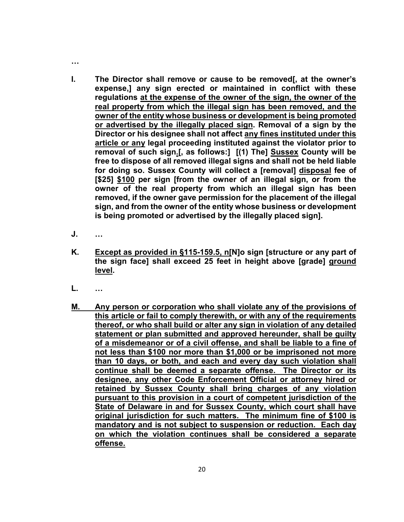- **[I.](http://ecode360.com/print/13804259#13804259) The Director shall remove or cause to be removed[, at the owner's expense,] any sign erected or maintained in conflict with these regulations at the expense of the owner of the sign, the owner of the real property from which the illegal sign has been removed, and the owner of the entity whose business or development is being promoted or advertised by the illegally placed sign. Removal of a sign by the Director or his designee shall not affect any fines instituted under this article or any legal proceeding instituted against the violator prior to removal of such sign.[, as follows:] [(1) The] Sussex County will be free to dispose of all removed illegal signs and shall not be held liable for doing so. Sussex County will collect a [removal] disposal fee of [\$25] \$100 per sign [from the owner of an illegal sign, or from the owner of the real property from which an illegal sign has been removed, if the owner gave permission for the placement of the illegal sign, and from the owner of the entity whose business or development is being promoted or advertised by the illegally placed sign].**
- **[J.](http://ecode360.com/print/13804261#13804261) …**

**…** 

- **[K.](http://ecode360.com/print/13804262#13804262) Except as provided in §115-159.5, n[N]o sign [structure or any part of the sign face] shall exceed 25 feet in height above [grade] ground level.**
- **[L.](http://ecode360.com/print/13804263#13804263) …**
- **M. Any person or corporation who shall violate any of the provisions of this article or fail to comply therewith, or with any of the requirements thereof, or who shall build or alter any sign in violation of any detailed statement or plan submitted and approved hereunder, shall be guilty of a misdemeanor or of a civil offense, and shall be liable to a fine of not less than \$100 nor more than \$1,000 or be imprisoned not more than 10 days, or both, and each and every day such violation shall continue shall be deemed a separate offense. The Director or its designee, any other Code Enforcement Official or attorney hired or retained by Sussex County shall bring charges of any violation pursuant to this provision in a court of competent jurisdiction of the State of Delaware in and for Sussex County, which court shall have original jurisdiction for such matters. The minimum fine of \$100 is mandatory and is not subject to suspension or reduction. Each day on which the violation continues shall be considered a separate offense.**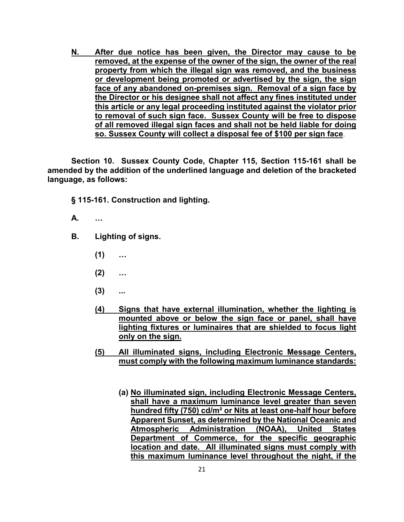**N. After due notice has been given, the Director may cause to be removed, at the expense of the owner of the sign, the owner of the real property from which the illegal sign was removed, and the business or development being promoted or advertised by the sign, the sign face of any abandoned on-premises sign. Removal of a sign face by the Director or his designee shall not affect any fines instituted under this article or any legal proceeding instituted against the violator prior to removal of such sign face. Sussex County will be free to dispose of all removed illegal sign faces and shall not be held liable for doing so. Sussex County will collect a disposal fee of \$100 per sign face**.

**Section 10. Sussex County Code, Chapter 115, Section 115-161 shall be amended by the addition of the underlined language and deletion of the bracketed language, as follows:**

**[§ 115-161. Construction and lighting.](http://ecode360.com/print/SU1223?guid=8884701,8884732,8884743,8884755,8884786,13804200,13804207,13804217,13804232,13804264&children=true#13804264)**

- **[A.](http://ecode360.com/print/13804265#13804265) …**
- **[B.](http://ecode360.com/print/13804266#13804266) Lighting of signs.**
	- **[\(1\)](http://ecode360.com/print/13804267#13804267) …**
	- **[\(2\)](http://ecode360.com/print/13804268#13804268) …**
	- **[\(3\)](http://ecode360.com/print/13804269#13804269) ...**
	- **(4) Signs that have external illumination, whether the lighting is mounted above or below the sign face or panel, shall have lighting fixtures or luminaires that are shielded to focus light only on the sign.**
	- **(5) All illuminated signs, including Electronic Message Centers, must comply with the following maximum luminance standards:**
		- **(a) No illuminated sign, including Electronic Message Centers, shall have a maximum luminance level greater than seven hundred fifty (750) cd/m² or Nits at least one-half hour before Apparent Sunset, as determined by the National Oceanic and Atmospheric Administration (NOAA), United States Department of Commerce, for the specific geographic location and date. All illuminated signs must comply with this maximum luminance level throughout the night, if the**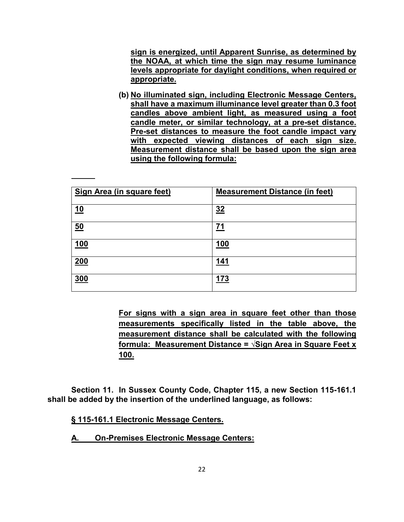**sign is energized, until Apparent Sunrise, as determined by the NOAA, at which time the sign may resume luminance levels appropriate for daylight conditions, when required or appropriate.**

**(b) No illuminated sign, including Electronic Message Centers, shall have a maximum illuminance level greater than 0.3 foot candles above ambient light, as measured using a foot candle meter, or similar technology, at a pre-set distance. Pre-set distances to measure the foot candle impact vary with expected viewing distances of each sign size. Measurement distance shall be based upon the sign area using the following formula:**

| Sign Area (in square feet) | <b>Measurement Distance (in feet)</b> |
|----------------------------|---------------------------------------|
| <u>10</u>                  | 32                                    |
| 50                         | 71                                    |
| 100                        | 100                                   |
| 200                        | 141                                   |
| 300                        | 173                                   |

**For signs with a sign area in square feet other than those measurements specifically listed in the table above, the measurement distance shall be calculated with the following formula: Measurement Distance = √Sign Area in Square Feet x 100.**

**Section 11. In Sussex County Code, Chapter 115, a new Section 115-161.1 shall be added by the insertion of the underlined language, as follows:**

**[§ 115-161.1 Electronic Message Centers.](http://ecode360.com/print/SU1223?guid=8884701,8884732,8884743,8884755,8884786,13804200,13804207,13804217,13804232,13804264&children=true#13804264)**

**A. On-Premises Electronic Message Centers:**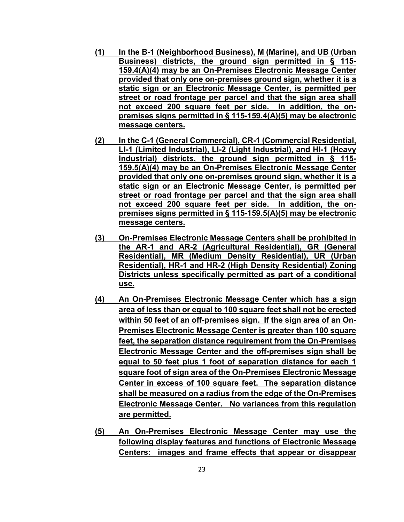- **(1) In the B-1 (Neighborhood Business), M (Marine), and UB (Urban Business) districts, the ground sign permitted in § 115- 159.4(A)(4) may be an On-Premises Electronic Message Center provided that only one on-premises ground sign, whether it is a static sign or an Electronic Message Center, is permitted per street or road frontage per parcel and that the sign area shall not exceed 200 square feet per side. In addition, the onpremises signs permitted in § 115-159.4(A)(5) may be electronic message centers.**
- **(2) In the C-1 (General Commercial), CR-1 (Commercial Residential, LI-1 (Limited Industrial), LI-2 (Light Industrial), and HI-1 (Heavy Industrial) districts, the ground sign permitted in § 115- 159.5(A)(4) may be an On-Premises Electronic Message Center provided that only one on-premises ground sign, whether it is a static sign or an Electronic Message Center, is permitted per street or road frontage per parcel and that the sign area shall not exceed 200 square feet per side. In addition, the onpremises signs permitted in § 115-159.5(A)(5) may be electronic message centers.**
- **(3) On-Premises Electronic Message Centers shall be prohibited in the AR-1 and AR-2 (Agricultural Residential), GR (General Residential), MR (Medium Density Residential), UR (Urban Residential), HR-1 and HR-2 (High Density Residential) Zoning Districts unless specifically permitted as part of a conditional use.**
- **(4) An On-Premises Electronic Message Center which has a sign area of less than or equal to 100 square feet shall not be erected within 50 feet of an off-premises sign. If the sign area of an On-Premises Electronic Message Center is greater than 100 square feet, the separation distance requirement from the On-Premises Electronic Message Center and the off-premises sign shall be equal to 50 feet plus 1 foot of separation distance for each 1 square foot of sign area of the On-Premises Electronic Message Center in excess of 100 square feet. The separation distance shall be measured on a radius from the edge of the On-Premises Electronic Message Center. No variances from this regulation are permitted.**
- **(5) An On-Premises Electronic Message Center may use the following display features and functions of Electronic Message Centers: images and frame effects that appear or disappear**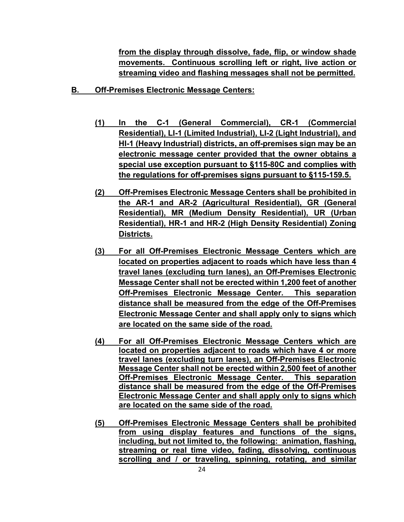**from the display through dissolve, fade, flip, or window shade movements. Continuous scrolling left or right, live action or streaming video and flashing messages shall not be permitted.**

- **B. Off-Premises Electronic Message Centers:** 
	- **(1) In the C-1 (General Commercial), CR-1 (Commercial Residential), LI-1 (Limited Industrial), LI-2 (Light Industrial), and HI-1 (Heavy Industrial) districts, an off-premises sign may be an electronic message center provided that the owner obtains a special use exception pursuant to §115-80C and complies with the regulations for off-premises signs pursuant to §115-159.5.**
	- **(2) Off-Premises Electronic Message Centers shall be prohibited in the AR-1 and AR-2 (Agricultural Residential), GR (General Residential), MR (Medium Density Residential), UR (Urban Residential), HR-1 and HR-2 (High Density Residential) Zoning Districts.**
	- **(3) For all Off-Premises Electronic Message Centers which are located on properties adjacent to roads which have less than 4 travel lanes (excluding turn lanes), an Off-Premises Electronic Message Center shall not be erected within 1,200 feet of another Off-Premises Electronic Message Center. This separation distance shall be measured from the edge of the Off-Premises Electronic Message Center and shall apply only to signs which are located on the same side of the road.**
	- **(4) For all Off-Premises Electronic Message Centers which are located on properties adjacent to roads which have 4 or more travel lanes (excluding turn lanes), an Off-Premises Electronic Message Center shall not be erected within 2,500 feet of another Off-Premises Electronic Message Center. This separation distance shall be measured from the edge of the Off-Premises Electronic Message Center and shall apply only to signs which are located on the same side of the road.**
	- **(5) Off-Premises Electronic Message Centers shall be prohibited from using display features and functions of the signs, including, but not limited to, the following: animation, flashing, streaming or real time video, fading, dissolving, continuous scrolling and / or traveling, spinning, rotating, and similar**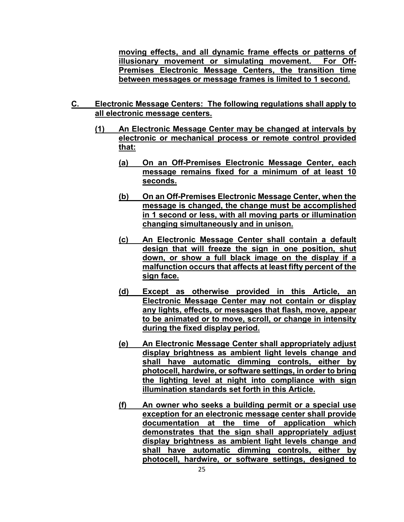**moving effects, and all dynamic frame effects or patterns of illusionary movement or simulating movement. For Off-Premises Electronic Message Centers, the transition time between messages or message frames is limited to 1 second.**

- **C. Electronic Message Centers: The following regulations shall apply to all electronic message centers.**
	- **(1) An Electronic Message Center may be changed at intervals by electronic or mechanical process or remote control provided that:**
		- **(a) On an Off-Premises Electronic Message Center, each message remains fixed for a minimum of at least 10 seconds.**
		- **(b) On an Off-Premises Electronic Message Center, when the message is changed, the change must be accomplished in 1 second or less, with all moving parts or illumination changing simultaneously and in unison.**
		- **(c) An Electronic Message Center shall contain a default design that will freeze the sign in one position, shut down, or show a full black image on the display if a malfunction occurs that affects at least fifty percent of the sign face.**
		- **(d) Except as otherwise provided in this Article, an Electronic Message Center may not contain or display any lights, effects, or messages that flash, move, appear to be animated or to move, scroll, or change in intensity during the fixed display period.**
		- **(e) An Electronic Message Center shall appropriately adjust display brightness as ambient light levels change and shall have automatic dimming controls, either by photocell, hardwire, or software settings, in order to bring the lighting level at night into compliance with sign illumination standards set forth in this Article.**
		- **(f) An owner who seeks a building permit or a special use exception for an electronic message center shall provide documentation at the time of application which demonstrates that the sign shall appropriately adjust display brightness as ambient light levels change and shall have automatic dimming controls, either by photocell, hardwire, or software settings, designed to**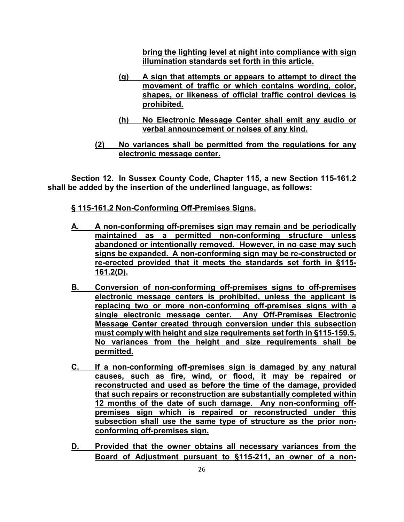**bring the lighting level at night into compliance with sign illumination standards set forth in this article.**

- **(g) A sign that attempts or appears to attempt to direct the movement of traffic or which contains wording, color, shapes, or likeness of official traffic control devices is prohibited.**
- **(h) No Electronic Message Center shall emit any audio or verbal announcement or noises of any kind.**
- **(2) No variances shall be permitted from the regulations for any electronic message center.**

**Section 12. In Sussex County Code, Chapter 115, a new Section 115-161.2 shall be added by the insertion of the underlined language, as follows:**

# **[§ 115-161.2 Non-Conforming Off-Premises Signs.](http://ecode360.com/print/SU1223?guid=8884701,8884732,8884743,8884755,8884786,13804200,13804207,13804217,13804232,13804264&children=true#13804264)**

- **A. A non-conforming off-premises sign may remain and be periodically maintained as a permitted non-conforming structure unless abandoned or intentionally removed. However, in no case may such signs be expanded. A non-conforming sign may be re-constructed or re-erected provided that it meets the standards set forth in §115- 161.2(D).**
- **B. Conversion of non-conforming off-premises signs to off-premises electronic message centers is prohibited, unless the applicant is replacing two or more non-conforming off-premises signs with a single electronic message center. Any Off-Premises Electronic Message Center created through conversion under this subsection must comply with height and size requirements set forth in §115-159.5. No variances from the height and size requirements shall be permitted.**
- **C. If a non-conforming off-premises sign is damaged by any natural causes, such as fire, wind, or flood, it may be repaired or reconstructed and used as before the time of the damage, provided that such repairs or reconstruction are substantially completed within 12 months of the date of such damage. Any non-conforming offpremises sign which is repaired or reconstructed under this subsection shall use the same type of structure as the prior nonconforming off-premises sign.**
- **D. Provided that the owner obtains all necessary variances from the Board of Adjustment pursuant to §115-211, an owner of a non-**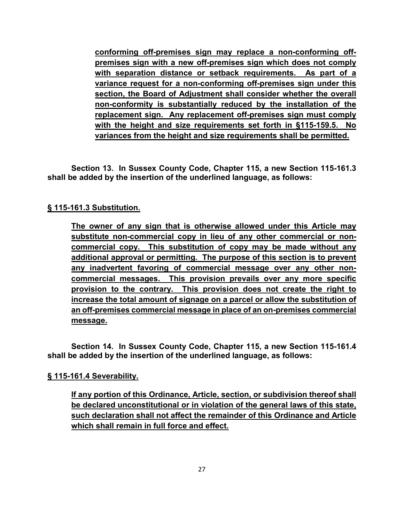**conforming off-premises sign may replace a non-conforming offpremises sign with a new off-premises sign which does not comply with separation distance or setback requirements. As part of a variance request for a non-conforming off-premises sign under this section, the Board of Adjustment shall consider whether the overall non-conformity is substantially reduced by the installation of the replacement sign. Any replacement off-premises sign must comply with the height and size requirements set forth in §115-159.5. No variances from the height and size requirements shall be permitted.**

**Section 13. In Sussex County Code, Chapter 115, a new Section 115-161.3 shall be added by the insertion of the underlined language, as follows:**

# **[§ 115-161.3 Substitution.](http://ecode360.com/print/SU1223?guid=8884701,8884732,8884743,8884755,8884786,13804200,13804207,13804217,13804232,13804264&children=true#13804264)**

**The owner of any sign that is otherwise allowed under this Article may substitute non-commercial copy in lieu of any other commercial or noncommercial copy. This substitution of copy may be made without any additional approval or permitting. The purpose of this section is to prevent any inadvertent favoring of commercial message over any other noncommercial messages. This provision prevails over any more specific provision to the contrary. This provision does not create the right to increase the total amount of signage on a parcel or allow the substitution of an off-premises commercial message in place of an on-premises commercial message.**

**Section 14. In Sussex County Code, Chapter 115, a new Section 115-161.4 shall be added by the insertion of the underlined language, as follows:**

# **[§ 115-161.4 Severability.](http://ecode360.com/print/SU1223?guid=8884701,8884732,8884743,8884755,8884786,13804200,13804207,13804217,13804232,13804264&children=true#13804264)**

**If any portion of this Ordinance, Article, section, or subdivision thereof shall be declared unconstitutional or in violation of the general laws of this state, such declaration shall not affect the remainder of this Ordinance and Article which shall remain in full force and effect.**